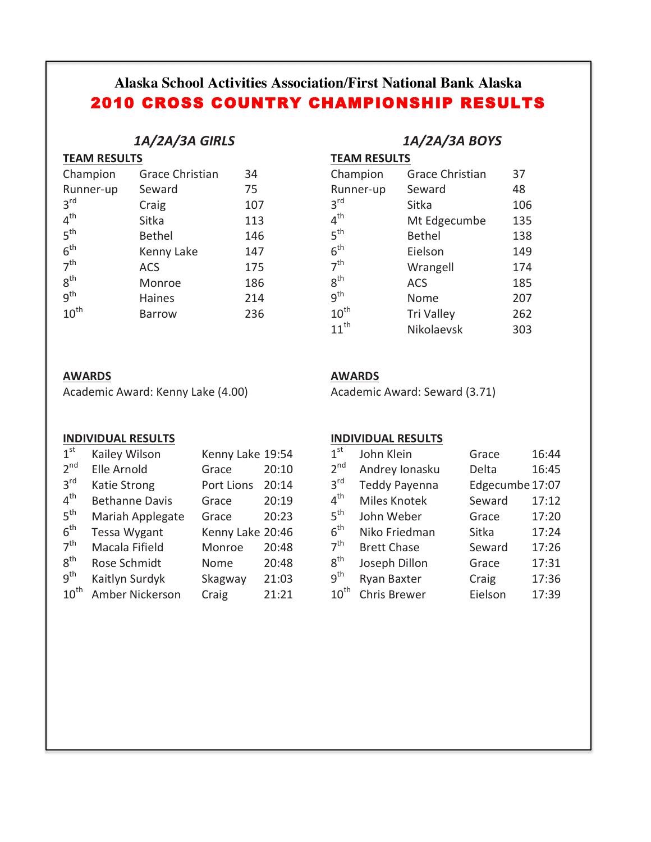# **Alaska School Activities Association/First National Bank Alaska** 2010 CROSS COUNTRY CHAMPIONSHIP RESULTS

### *1A/2A/3A GIRLS*

| <b>TEAM RESULTS</b> |
|---------------------|
|                     |

| Champion         | <b>Grace Christian</b> | 34  |
|------------------|------------------------|-----|
| Runner-up        | Seward                 | 75  |
| 3 <sup>rd</sup>  | Craig                  | 107 |
| 4 <sup>th</sup>  | Sitka                  | 113 |
| 5 <sup>th</sup>  | <b>Bethel</b>          | 146 |
| 6 <sup>th</sup>  | Kenny Lake             | 147 |
| 7 <sup>th</sup>  | <b>ACS</b>             | 175 |
| $8^{\text{th}}$  | Monroe                 | 186 |
| q <sup>th</sup>  | <b>Haines</b>          | 214 |
| $10^{\text{th}}$ | Barrow                 | 236 |
|                  |                        |     |

## *1A/2A/3A BOYS*

**TEAM RESULTS** 

| Champion         | <b>Grace Christian</b> | 37  |
|------------------|------------------------|-----|
| Runner-up        | Seward                 | 48  |
| 3 <sup>rd</sup>  | Sitka                  | 106 |
| 4 <sup>th</sup>  | Mt Edgecumbe           | 135 |
| 5 <sup>th</sup>  | <b>Bethel</b>          | 138 |
| 6 <sup>th</sup>  | Eielson                | 149 |
| 7 <sup>th</sup>  | Wrangell               | 174 |
| 8 <sup>th</sup>  | <b>ACS</b>             | 185 |
| g <sup>th</sup>  | Nome                   | 207 |
| $10^{\text{th}}$ | <b>Tri Valley</b>      | 262 |
| $11^{th}$        | Nikolaevsk             | 303 |

#### **AWARDS**

Academic Award: Kenny Lake (4.00)

**AWARDS**

Academic Award: Seward (3.71)

#### **INDIVIDUAL RESULTS**

| 1 <sup>st</sup>  | Kailey Wilson         | Kenny Lake 19:54 |       |
|------------------|-----------------------|------------------|-------|
| 2 <sup>nd</sup>  | Elle Arnold           | Grace            | 20:10 |
| $3^{\text{rd}}$  | Katie Strong          | Port Lions       | 20:14 |
| 4 <sup>th</sup>  | <b>Bethanne Davis</b> | Grace            | 20:19 |
| 5 <sup>th</sup>  | Mariah Applegate      | Grace            | 20:23 |
| 6 <sup>th</sup>  | <b>Tessa Wygant</b>   | Kenny Lake 20:46 |       |
| 7 <sup>th</sup>  | Macala Fifield        | Monroe           | 20:48 |
| $8^{\text{th}}$  | Rose Schmidt          | Nome             | 20:48 |
| q <sup>th</sup>  | Kaitlyn Surdyk        | Skagway          | 21:03 |
| $10^{\text{th}}$ | Amber Nickerson       | Craig            | 21:21 |

#### **INDIVIDUAL RESULTS**

| 1 <sup>st</sup>   | John Klein           | Grace           | 16:44 |
|-------------------|----------------------|-----------------|-------|
| 2 <sup>nd</sup>   | Andrey Ionasku       | Delta           | 16:45 |
| $3^{\text{rd}}$   | <b>Teddy Payenna</b> | Edgecumbe 17:07 |       |
| $4^{\text{th}}$   | Miles Knotek         | Seward          | 17:12 |
| $5^{\text{th}}$   | John Weber           | Grace           | 17:20 |
| $6^{\text{th}}$   | Niko Friedman        | Sitka           | 17:24 |
| 7 <sup>th</sup>   | <b>Brett Chase</b>   | Seward          | 17:26 |
| $8^{\mathsf{th}}$ | Joseph Dillon        | Grace           | 17:31 |
| $9^{\mathsf{th}}$ | Ryan Baxter          | Craig           | 17:36 |
| $10^{\sf th}$     | <b>Chris Brewer</b>  | Eielson         | 17:39 |